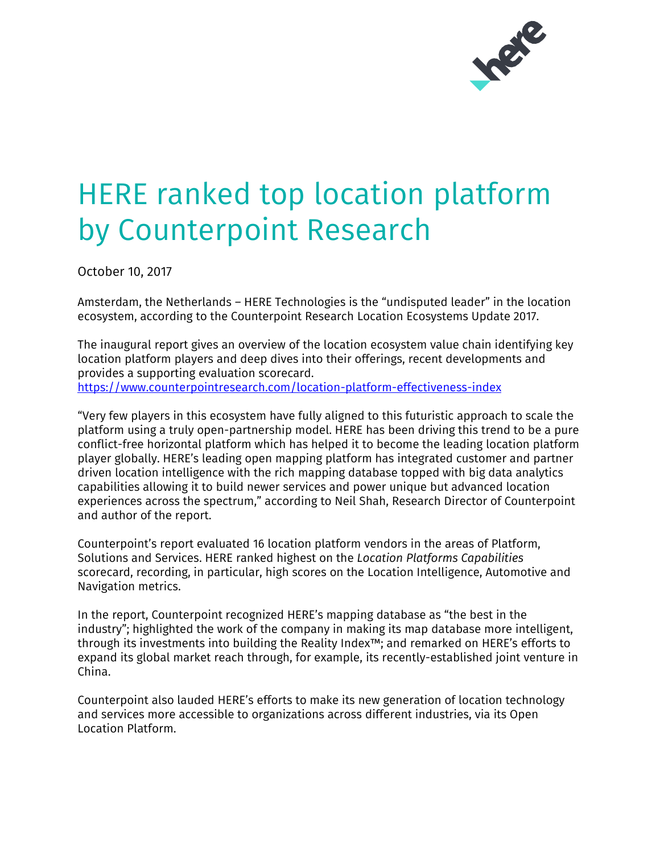

## HERE ranked top location platform by Counterpoint Research

October 10, 2017

Amsterdam, the Netherlands – HERE Technologies is the "undisputed leader" in the location ecosystem, according to the Counterpoint Research Location Ecosystems Update 2017.

The inaugural report gives an overview of the location ecosystem value chain identifying key location platform players and deep dives into their offerings, recent developments and provides a supporting evaluation scorecard. [https://www.counterpointresearch.com/location-platform-effectiveness-index](https://www.counterpointresearch.com/location-platform-effectiveness-index-here-leads-ahead-of-google-tomtom/)

"Very few players in this ecosystem have fully aligned to this futuristic approach to scale the platform using a truly open-partnership model. HERE has been driving this trend to be a pure conflict-free horizontal platform which has helped it to become the leading location platform player globally. HERE's leading open mapping platform has integrated customer and partner driven location intelligence with the rich mapping database topped with big data analytics capabilities allowing it to build newer services and power unique but advanced location experiences across the spectrum," according to Neil Shah, Research Director of Counterpoint and author of the report.

Counterpoint's report evaluated 16 location platform vendors in the areas of Platform, Solutions and Services. HERE ranked highest on the *Location Platforms Capabilities* scorecard, recording, in particular, high scores on the Location Intelligence, Automotive and Navigation metrics.

In the report, Counterpoint recognized HERE's mapping database as "the best in the industry"; highlighted the work of the company in making its map database more intelligent, through its investments into building the Reality Index™; and remarked on HERE's efforts to expand its global market reach through, for example, its recently-established joint venture in China.

Counterpoint also lauded HERE's efforts to make its new generation of location technology and services more accessible to organizations across different industries, via its Open Location Platform.